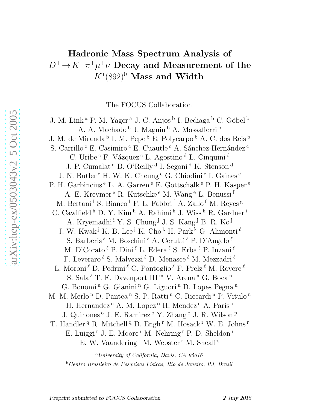## Hadronic Mass Spectrum Analysis of  $D^+ \!\rightarrow\! K^- \pi^+ \mu^+ \nu$  Decay and Measurement of the  $K^{\ast}(892)^{0}$  Mass and Width

The FOCUS Collaboration

J. M. Link<sup>a</sup> P. M. Yager<sup>a</sup> J. C. Anjos<sup>b</sup> I. Bediaga<sup>b</sup> C. Göbel<sup>b</sup> A. A. Machado  $^{\rm b}$  J. Magnin  $^{\rm b}$  A. Massafferri  $^{\rm b}$ J. M. de Miranda <sup>b</sup> I. M. Pepe <sup>b</sup> E. Polycarpo <sup>b</sup> A. C. dos Reis <sup>b</sup> S. Carrillo $\rm ^c$ E. C<br/>asimiro $\rm ^c$ E. Cuautle $\rm ^c$ A. Sánchez-Hernández <br/>  $\rm ^c$ C. Uribe<sup>c</sup> F. Vázquez<sup>c</sup> L. Agostino<sup>d</sup> L. Cinquini<sup>d</sup> J. P. Cumalat <sup>d</sup> B. O'Reilly <sup>d</sup> I. Segoni <sup>d</sup> K. Stenson <sup>d</sup> J. N. Butler<sup>e</sup> H. W. K. Cheung<sup>e</sup> G. Chiodini<sup>e</sup> I. Gaines<sup>e</sup> P. H. Garbincius <sup>e</sup> L. A. Garren <sup>e</sup> E. Gottschalk <sup>e</sup> P. H. Kasper <sup>e</sup> A. E. Kreymer <sup>e</sup> R. Kutschke <sup>e</sup> M. Wang <sup>e</sup> L. Benussi f M. Bertani<sup>f</sup> S. Bianco<sup>f</sup> F. L. Fabbri<sup>f</sup> A. Zallo<sup>f</sup> M. Reyes<sup>g</sup> C. Cawlfield<sup>h</sup> D. Y. Kim<sup>h</sup> A. Rahimi<sup>h</sup> J. Wiss<sup>h</sup> R. Gardner<sup>i</sup> A. Kryemadhi<sup>i</sup> Y. S. Chung<sup>j</sup> J. S. Kang<sup>j</sup> B. R. Ko<sup>j</sup> J. W. Kwak<sup>j</sup> K. B. Lee<sup>j</sup> K. Cho<sup>k</sup> H. Park<sup>k</sup> G. Alimonti<sup> $\ell$ </sup> S. Barberis  $\ell$  M. Boschini  $\ell$  A. Cerutti  $\ell$  P. D'Angelo  $\ell$ M. DiCorato  $^{\ell}$  P. Dini  $^{\ell}$  L. Edera  $^{\ell}$  S. Erba  $^{\ell}$  P. Inzani  $^{\ell}$ F. Leveraro  $^{\ell}$  S. Malvezzi  $^{\ell}$  D. Menasce  $^{\ell}$  M. Mezzadri  $^{\ell}$ L. Moroni $^{\ell}$  D. Pedrini $^{\ell}$  C. Pontoglio $^{\ell}$  F. Prelz $^{\ell}$  M. Rovere $^{\ell}$ S. Sala $\ell$  T. F. Davenport III<sup>m</sup> V. Arena<sup>n</sup> G. Boca<sup>n</sup> G. Bonomi<sup>n</sup> G. Gianini<sup>n</sup> G. Liguori<sup>n</sup> D. Lopes Pegna<sup>n</sup> M. M. Merlo<sup>n</sup> D. Pantea<sup>n</sup> S. P. Ratti<sup>n</sup> C. Riccardi<sup>n</sup> P. Vitulo<sup>n</sup> H. Hernandez<sup>o</sup> A. M. Lopez<sup>o</sup> H. Mendez<sup>o</sup> A. Paris<sup>o</sup> J. Quinones<sup>o</sup> J. E. Ramirez<sup>o</sup> Y. Zhang<sup>o</sup> J. R. Wilson<sup>p</sup> T. Handler<sup>q</sup> R. Mitchell<sup>q</sup> D. Engh<sup>r</sup> M. Hosack<sup>r</sup> W. E. Johns<sup>r</sup> E. Luiggi<sup>r</sup> J. E. Moore<sup>r</sup> M. Nehring<sup>r</sup> P. D. Sheldon<sup>r</sup> E. W. Vaandering<sup>r</sup> M. Webster<sup>r</sup> M. Sheaff<sup>s</sup>

<sup>a</sup>*University of California, Davis, CA 95616* <sup>b</sup>*Centro Brasileiro de Pesquisas F´ısicas, Rio de Janeiro, RJ, Brasil*

Preprint submitted to FOCUS Collaboration 2 July 2018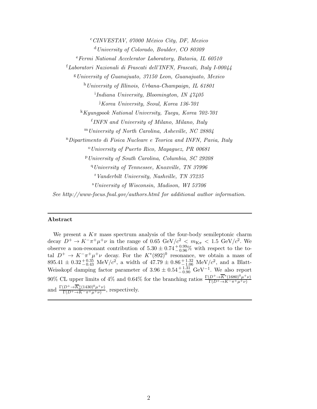<sup>c</sup> CINVESTAV, 07000 México City, DF, Mexico <sup>d</sup>*University of Colorado, Boulder, CO 80309* <sup>e</sup>*Fermi National Accelerator Laboratory, Batavia, IL 60510* <sup>f</sup>*Laboratori Nazionali di Frascati dell'INFN, Frascati, Italy I-00044* <sup>g</sup>*University of Guanajuato, 37150 Leon, Guanajuato, Mexico* <sup>h</sup>*University of Illinois, Urbana-Champaign, IL 61801* i *Indiana University, Bloomington, IN 47405* <sup>j</sup>*Korea University, Seoul, Korea 136-701* <sup>k</sup>*Kyungpook National University, Taegu, Korea 702-701* ℓ *INFN and University of Milano, Milano, Italy* <sup>m</sup>*University of North Carolina, Asheville, NC 28804* <sup>n</sup>*Dipartimento di Fisica Nucleare e Teorica and INFN, Pavia, Italy* <sup>o</sup>*University of Puerto Rico, Mayaguez, PR 00681* <sup>p</sup>*University of South Carolina, Columbia, SC 29208* <sup>q</sup>*University of Tennessee, Knoxville, TN 37996* <sup>r</sup>*Vanderbilt University, Nashville, TN 37235* <sup>s</sup>*University of Wisconsin, Madison, WI 53706 See http://www-focus.fnal.gov/authors.html for additional author information.*

## Abstract

We present a  $K_{\pi}$  mass spectrum analysis of the four-body semileptonic charm decay  $D^+ \to K^- \pi^+ \mu^+ \nu$  in the range of 0.65 GeV/ $c^2$  <  $m_{K\pi}$  < 1.5 GeV/ $c^2$ . We observe a non-resonant contribution of  $5.30 \pm 0.74_{-0.96}^{+0.99}\%$  with respect to the total  $D^+ \to K^-\pi^+\mu^+\nu$  decay. For the  $K^*(892)^0$  resonance, we obtain a mass of  $895.41 \pm 0.32_{-0.43}^{+0.35}$  MeV/ $c^2$ , a width of  $47.79 \pm 0.86_{-1.06}^{+1.32}$  MeV/ $c^2$ , and a Blatt-Weisskopf damping factor parameter of  $3.96 \pm 0.54_{-0.90}^{+1.31}$  GeV<sup>-1</sup>. We also report 90% CL upper limits of 4% and 0.64% for the branching ratios  $\frac{\Gamma(D^+\to\overline{K}^*(1680)^0\mu^+\nu)}{\Gamma(D^+\to\overline{K}^-\pi^+\mu^+\nu)}$ and  $\frac{\Gamma(D^+\to\overline{K}_0^*(1430)^0\mu^+\nu)}{\Gamma(D^+\to K^-\pi^+\mu^+\nu)}$  $\frac{D \cdot \Box K_0(1430) \mu \cdot \nu}{\Gamma(D^+ \to K^- \pi^+ \mu^+ \nu)},$  respectively.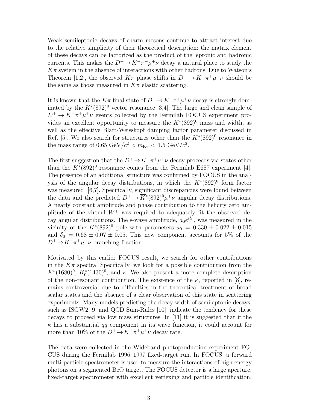Weak semileptonic decays of charm mesons continue to attract interest due to the relative simplicity of their theoretical description: the matrix element of these decays can be factorized as the product of the leptonic and hadronic currents. This makes the  $D^+ \to K^-\pi^+\mu^+\nu$  decay a natural place to study the  $K\pi$  system in the absence of interactions with other hadrons. Due to Watson's Theorem [1,2], the observed  $K\pi$  phase shifts in  $D^+ \to K^-\pi^+\mu^+\nu$  should be the same as those measured in  $K\pi$  elastic scattering.

It is known that the  $K\pi$  final state of  $D^+ \to K^-\pi^+\mu^+\nu$  decay is strongly dominated by the  $K^*(892)^0$  vector resonance [3,4]. The large and clean sample of  $D^+ \to K^-\pi^+\mu^+\nu$  events collected by the Fermilab FOCUS experiment provides an excellent opportunity to measure the  $K^*(892)^0$  mass and width, as well as the effective Blatt-Weisskopf damping factor parameter discussed in Ref. [5]. We also search for structures other than the  $K^*(892)^0$  resonance in the mass range of  $0.65 \text{ GeV}/c^2 < m_{K\pi} < 1.5 \text{ GeV}/c^2$ .

The first suggestion that the  $D^+ \to K^-\pi^+\mu^+\nu$  decay proceeds via states other than the  $K^*(892)^0$  resonance comes from the Fermilab E687 experiment [4]. The presence of an additional structure was confirmed by FOCUS in the analysis of the angular decay distributions, in which the  $K^*(892)^0$  form factor was measured [6,7]. Specifically, significant discrepancies were found between the data and the predicted  $D^+ \to \overline{K}^*(892)^0 \mu^+ \nu$  angular decay distributions. A nearly constant amplitude and phase contribution to the helicity zero amplitude of the virtual  $W^+$  was required to adequately fit the observed decay angular distributions. The s-wave amplitude,  $a_0e^{i\delta_0}$ , was measured in the vicinity of the  $K^*(892)^0$  pole with parameters  $a_0 = 0.330 \pm 0.022 \pm 0.015$ and  $\delta_0 = 0.68 \pm 0.07 \pm 0.05$ . This new component accounts for 5% of the  $D^+ \to K^-\pi^+\mu^+\nu$  branching fraction.

Motivated by this earlier FOCUS result, we search for other contributions in the  $K_{\pi}$  spectra. Specifically, we look for a possible contribution from the  $K^*(1680)^0$ ,  $K_0^*(1430)^0$ , and  $\kappa$ . We also present a more complete description of the non-resonant contribution. The existence of the  $\kappa$ , reported in [8], remains controversial due to difficulties in the theoretical treatment of broad scalar states and the absence of a clear observation of this state in scattering experiments. Many models predicting the decay width of semileptonic decays, such as ISGW2 [9] and QCD Sum-Rules [10], indicate the tendency for these decays to proceed via low mass structures. In [11] it is suggested that if the  $\kappa$  has a substantial  $q\bar{q}$  component in its wave function, it could account for more than 10% of the  $D^+ \to K^-\pi^+\mu^+\nu$  decay rate.

The data were collected in the Wideband photoproduction experiment FO-CUS during the Fermilab 1996–1997 fixed-target run. In FOCUS, a forward multi-particle spectrometer is used to measure the interactions of high energy photons on a segmented BeO target. The FOCUS detector is a large aperture, fixed-target spectrometer with excellent vertexing and particle identification.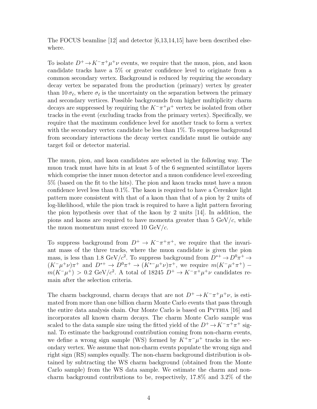The FOCUS beamline [12] and detector [6,13,14,15] have been described elsewhere.

To isolate  $D^+ \to K^-\pi^+\mu^+\nu$  events, we require that the muon, pion, and kaon candidate tracks have a 5% or greater confidence level to originate from a common secondary vertex. Background is reduced by requiring the secondary decay vertex be separated from the production (primary) vertex by greater than 10 $\sigma_{\ell}$ , where  $\sigma_{\ell}$  is the uncertainty on the separation between the primary and secondary vertices. Possible backgrounds from higher multiplicity charm decays are suppressed by requiring the  $K^-\pi^+\mu^+$  vertex be isolated from other tracks in the event (excluding tracks from the primary vertex). Specifically, we require that the maximum confidence level for another track to form a vertex with the secondary vertex candidate be less than  $1\%$ . To suppress background from secondary interactions the decay vertex candidate must lie outside any target foil or detector material.

The muon, pion, and kaon candidates are selected in the following way. The muon track must have hits in at least 5 of the 6 segmented scintillator layers which comprise the inner muon detector and a muon confidence level exceeding 5% (based on the fit to the hits). The pion and kaon tracks must have a muon confidence level less than  $0.1\%$ . The kaon is required to have a Cerenkov light pattern more consistent with that of a kaon than that of a pion by 2 units of log-likelihood, while the pion track is required to have a light pattern favoring the pion hypothesis over that of the kaon by 2 units [14]. In addition, the pions and kaons are required to have momenta greater than  $5 \text{ GeV}/c$ , while the muon momentum must exceed 10  $GeV/c$ .

To suppress background from  $D^+ \to K^-\pi^+\pi^+$ , we require that the invariant mass of the three tracks, where the muon candidate is given the pion mass, is less than 1.8 GeV/ $c^2$ . To suppress background from  $D^{*+} \to D^0 \pi^+ \to$  $(K^-\mu^+\nu)\pi^+$  and  $D^{*+}\to D^0\pi^+ \to (K^{*-}\mu^+\nu)\pi^+$ , we require  $m(K^-\mu^+\pi^+)$  $m(K^-\mu^+) > 0.2 \text{ GeV}/c^2$ . A total of 18245  $D^+ \to K^-\pi^+\mu^+\nu$  candidates remain after the selection criteria.

The charm background, charm decays that are not  $D^+ \to K^-\pi^+\mu^+\nu$ , is estimated from more than one billion charm Monte Carlo events that pass through the entire data analysis chain. Our Monte Carlo is based on Pythia [16] and incorporates all known charm decays. The charm Monte Carlo sample was scaled to the data sample size using the fitted yield of the  $D^+ \to K^-\pi^+\pi^+$  signal. To estimate the background contribution coming from non-charm events, we define a wrong sign sample (WS) formed by  $K^+\pi^-\mu^+$  tracks in the secondary vertex. We assume that non-charm events populate the wrong sign and right sign (RS) samples equally. The non-charm background distribution is obtained by subtracting the WS charm background (obtained from the Monte Carlo sample) from the WS data sample. We estimate the charm and noncharm background contributions to be, respectively, 17.8% and 3.2% of the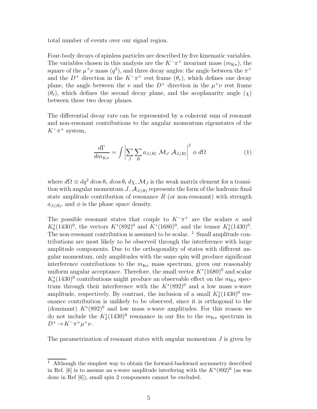total number of events over our signal region.

Four-body decays of spinless particles are described by five kinematic variables. The variables chosen in this analysis are the  $K^-\pi^+$  invariant mass  $(m_{K\pi})$ , the square of the  $\mu^+\nu$  mass  $(q^2)$ , and three decay angles: the angle between the  $\pi^+$ and the  $D^+$  direction in the  $K^-\pi^+$  rest frame  $(\theta_v)$ , which defines one decay plane, the angle between the  $\nu$  and the  $D^+$  direction in the  $\mu^+\nu$  rest frame  $(\theta_{\ell})$ , which defines the second decay plane, and the acoplanarity angle  $(\chi)$ between these two decay planes.

The differential decay rate can be represented by a coherent sum of resonant and non-resonant contributions to the angular momentum eigenstates of the  $K^-\pi^+$  system,

$$
\frac{d\Gamma}{dm_{K\pi}} = \int \left| \sum_{J} \sum_{R} a_{J,(R)} \mathcal{M}_{J} \mathcal{A}_{J,(R)} \right|^{2} \phi \, d\Omega \tag{1}
$$

where  $d\Omega \equiv dq^2 d\cos\theta_v d\cos\theta_\ell d\chi$ ,  $\mathcal{M}_J$  is the weak matrix element for a transition with angular momentum  $J$ ,  $\mathcal{A}_{J(R)}$  represents the form of the hadronic final state amplitude contribution of resonance  $R$  (or non-resonant) with strength  $a_{J,(R)}$ , and  $\phi$  is the phase space density.

The possible resonant states that couple to  $K^-\pi^+$  are the scalars  $\kappa$  and  $K_0^*(1430)^0$ , the vectors  $K^*(892)^0$  and  $K^*(1680)^0$ , and the tensor  $K_2^*(1430)^0$ . The non-resonant contribution is assumed to be scalar.  $1$  Small amplitude contributions are most likely to be observed through the interference with large amplitude components. Due to the orthogonality of states with different angular momentum, only amplitudes with the same spin will produce significant interference contributions to the  $m_{K_{\pi}}$  mass spectrum, given our reasonably uniform angular acceptance. Therefore, the small vector  $K^*(1680)^0$  and scalar  $K_0^*(1430)^0$  contributions might produce an observable effect on the  $m_{K_{\pi}}$  spectrum through their interference with the  $K^*(892)^0$  and a low mass s-wave amplitude, respectively. By contrast, the inclusion of a small  $K_2^*(1430)^0$  resonance contribution is unlikely to be observed, since it is orthogonal to the (dominant)  $K^*(892)^0$  and low mass s-wave amplitudes. For this reason we do not include the  $K_2^*(1430)^0$  resonance in our fits to the  $m_{K_{\pi}}$  spectrum in  $D^+ \to K^- \pi^+ \mu^+ \nu$ .

The parametrization of resonant states with angular momentum  $J$  is given by

 $1$  Although the simplest way to obtain the forward-backward asymmetry described in Ref. [6] is to assume an s-wave amplitude interfering with the  $K^*(892)^0$  (as was done in Ref [6]), small spin 2 components cannot be excluded.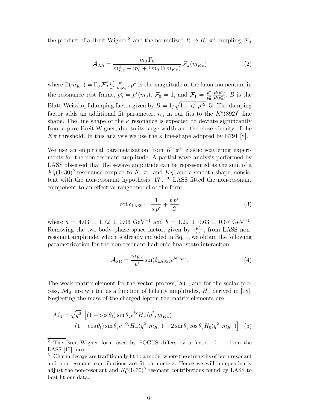the product of a Breit-Wigner<sup>2</sup> and the normalized  $R \to K^-\pi^+$  coupling,  $\mathcal{F}_J$ 

$$
\mathcal{A}_{J,R} = \frac{m_0 \Gamma_0}{m_{K\pi}^2 - m_0^2 + i \, m_0 \, \Gamma(m_{K\pi})} \, \mathcal{F}_J(m_{K\pi}) \tag{2}
$$

where  $\Gamma(m_{K\pi}) = \Gamma_0 \mathcal{F}_{J}^2$ p ∗  $p_0^*$  $m<sub>0</sub>$  $\frac{m_0}{m_{K\pi}}$ ,  $p^*$  is the magnitude of the kaon momentum in the resonance rest frame,  $p_0^* = p^*(m_0)$ ,  $\mathcal{F}_0 = 1$ , and  $\mathcal{F}_1 = \frac{p^*}{p_0^*}$  $p_0^*$  $B(p^*)$  $\frac{B(p^*)}{B(p_0^*)}$ . B is the Blatt-Weisskopf damping factor given by  $B = 1/\sqrt{1 + r_0^2 p^{*2}}$  [5]. The damping factor adds an additional fit parameter,  $r_0$ , in our fits to the  $K^*(892)^0$  line shape. The line shape of the  $\kappa$  resonance is expected to deviate significantly from a pure Breit-Wigner, due to its large width and the close vicinity of the  $K\pi$  threshold. In this analysis we use the  $\kappa$  line-shape adopted by E791 [8].

We use an empirical parametrization from  $K^-\pi^+$  elastic scattering experiments for the non-resonant amplitude. A partial wave analysis performed by LASS observed that the s-wave amplitude can be represented as the sum of a  $K_0^*(1430)^0$  resonance coupled to  $K^-\pi^+$  and  $K\eta'$  and a smooth shape, consistent with the non-resonant hypothesis  $[17]$ . <sup>3</sup> LASS fitted the non-resonant component to an effective range model of the form

$$
\cot \delta_{\text{LASS}} = \frac{1}{a p^*} + \frac{b p^*}{2} \tag{3}
$$

where  $a = 4.03 \pm 1.72 \pm 0.06$  GeV<sup>-1</sup> and  $b = 1.29 \pm 0.63 \pm 0.67$  GeV<sup>-1</sup>. Removing the two-body phase space factor, given by  $\frac{p^*}{m_W}$  $\frac{p^*}{m_{K\pi}}$ , from LASS nonresonant amplitude, which is already included in Eq. 1, we obtain the following parametrization for the non-resonant hadronic final state interaction:

$$
\mathcal{A}_{\rm NR} = \frac{m_{K\pi}}{p^*} \sin(\delta_{\rm LASS}) e^{i\delta_{\rm LASS}}.
$$
 (4)

The weak matrix element for the vector process,  $\mathcal{M}_1$ , and for the scalar process,  $\mathcal{M}_0$ , are written as a function of helicity amplitudes,  $H_i$ , derived in [18]. Neglecting the mass of the charged lepton the matrix elements are

$$
\mathcal{M}_1 = \sqrt{q^2} \left[ (1 + \cos \theta_\ell) \sin \theta_v e^{i\chi} H_+(q^2, m_{K\pi}) - (1 - \cos \theta_\ell) \sin \theta_v e^{-i\chi} H_-(q^2, m_{K\pi}) - 2 \sin \theta_\ell \cos \theta_v H_0(q^2, m_{K\pi}) \right] \tag{5}
$$

<sup>&</sup>lt;sup>2</sup> The Breit-Wigner form used by FOCUS differs by a factor of  $-1$  from the LASS [17] form.

<sup>&</sup>lt;sup>3</sup> Charm decays are traditionally fit to a model where the strengths of both resonant and non-resonant contributions are fit parameters. Hence we will independently adjust the non-resonant and  $K_0^*(1430)^0$  resonant contributions found by LASS to best fit our data.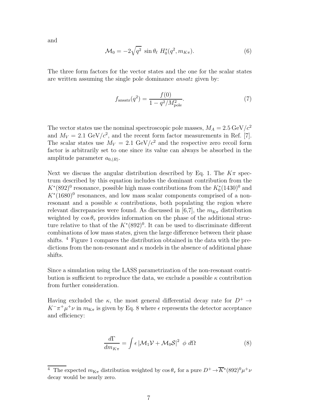and

$$
\mathcal{M}_0 = -2\sqrt{q^2} \sin \theta_\ell \ H_0^s(q^2, m_{K\pi}). \tag{6}
$$

The three form factors for the vector states and the one for the scalar states are written assuming the single pole dominance ansatz given by:

$$
f_{\text{ansatz}}(q^2) = \frac{f(0)}{1 - q^2 / M_{\text{pole}}^2}.
$$
 (7)

The vector states use the nominal spectroscopic pole masses,  $M_A = 2.5 \text{ GeV}/c^2$ and  $M_V = 2.1 \text{ GeV}/c^2$ , and the recent form factor measurements in Ref. [7]. The scalar states use  $M_V = 2.1 \text{ GeV}/c^2$  and the respective zero recoil form factor is arbitrarily set to one since its value can always be absorbed in the amplitude parameter  $a_{0,(R)}$ .

Next we discuss the angular distribution described by Eq. 1. The  $K\pi$  spectrum described by this equation includes the dominant contribution from the  $K^*(892)^0$  resonance, possible high mass contributions from the  $K_0^*(1430)^0$  and  $K^*(1680)^0$  resonances, and low mass scalar components comprised of a nonresonant and a possible  $\kappa$  contributions, both populating the region where relevant discrepancies were found. As discussed in [6,7], the  $m_{K_{\pi}}$  distribution weighted by  $\cos \theta_{\rm v}$  provides information on the phase of the additional structure relative to that of the  $K^*(892)^0$ . It can be used to discriminate different combinations of low mass states, given the large difference between their phase shifts. <sup>4</sup> Figure 1 compares the distribution obtained in the data with the predictions from the non-resonant and  $\kappa$  models in the absence of additional phase shifts.

Since a simulation using the LASS parametrization of the non-resonant contribution is sufficient to reproduce the data, we exclude a possible  $\kappa$  contribution from further consideration.

Having excluded the  $\kappa$ , the most general differential decay rate for  $D^+ \rightarrow$  $K^-\pi^+\mu^+\nu$  in  $m_{K\pi}$  is given by Eq. 8 where  $\epsilon$  represents the detector acceptance and efficiency:

$$
\frac{d\Gamma}{dm_{K\pi}} = \int \epsilon \, |\mathcal{M}_1 \mathcal{V} + \mathcal{M}_0 \mathcal{S}|^2 \, \phi \, d\Omega \tag{8}
$$

<sup>&</sup>lt;sup>4</sup> The expected  $m_{K\pi}$  distribution weighted by  $\cos \theta_v$  for a pure  $D^+ \to \overline{K}^*(892)^0 \mu^+ \nu$ decay would be nearly zero.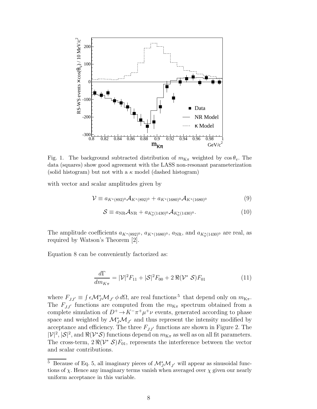

Fig. 1. The background subtracted distribution of  $m_{K_{\pi}}$  weighted by  $\cos \theta_{v}$ . The data (squares) show good agreement with the LASS non-resonant parameterization (solid histogram) but not with a  $\kappa$  model (dashed histogram)

with vector and scalar amplitudes given by

$$
\mathcal{V} \equiv a_{K^*(892)^0} \mathcal{A}_{K^*(892)^0} + a_{K^*(1680)^0} \mathcal{A}_{K^*(1680)^0} \tag{9}
$$

$$
S \equiv a_{\rm NR} \mathcal{A}_{\rm NR} + a_{K_0^*(1430)^0} \mathcal{A}_{K_0^*(1430)^0}.
$$
 (10)

The amplitude coefficients  $a_{K^*(892)^0}$ ,  $a_{K^*(1680)^0}$ ,  $a_{NR}$ , and  $a_{K_0^*(1430)^0}$  are real, as required by Watson's Theorem [2].

Equation 8 can be conveniently factorized as:

$$
\frac{d\Gamma}{dm_{K\pi}} = |\mathcal{V}|^2 F_{11} + |\mathcal{S}|^2 F_{00} + 2\,\Re(\mathcal{V}^* \,\mathcal{S}) F_{01} \tag{11}
$$

where  $F_{JJ'} \equiv \int \epsilon \mathcal{M}^*_{J} \mathcal{M}_{J'} \phi \, d\Omega$ , are real functions<sup>5</sup> that depend only on  $m_{K\pi}$ . The  $F_{JJ'}$  functions are computed from the  $m_{K\pi}$  spectrum obtained from a complete simulation of  $D^+ \to K^-\pi^+\mu^+\nu$  events, generated according to phase space and weighted by  $\mathcal{M}_{J}^{*}\mathcal{M}_{J}$  and thus represent the intensity modified by acceptance and efficiency. The three  $F_{JJ'}$  functions are shown in Figure 2. The  $|\mathcal{V}|^2$ ,  $|\mathcal{S}|^2$ , and  $\Re(\mathcal{V}^*\mathcal{S})$  functions depend on  $m_{K\pi}$  as well as on all fit parameters. The cross-term,  $2\Re(\mathcal{V}^*\mathcal{S})F_{01}$ , represents the interference between the vector and scalar contributions.

<sup>&</sup>lt;sup>5</sup> Because of Eq. 5, all imaginary pieces of  $\mathcal{M}_{J}^{*}\mathcal{M}_{J'}$  will appear as sinusoidal functions of  $\chi$ . Hence any imaginary terms vanish when averaged over  $\chi$  given our nearly uniform acceptance in this variable.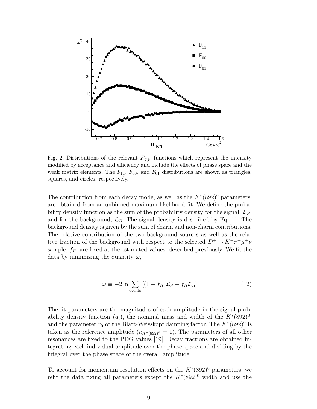

Fig. 2. Distributions of the relevant  $F_{JJ'}$  functions which represent the intensity modified by acceptance and efficiency and include the effects of phase space and the weak matrix elements. The  $F_{11}$ ,  $F_{00}$ , and  $F_{01}$  distributions are shown as triangles, squares, and circles, respectively.

The contribution from each decay mode, as well as the  $K^*(892)^0$  parameters, are obtained from an unbinned maximum-likelihood fit. We define the probability density function as the sum of the probability density for the signal,  $\mathcal{L}_S$ , and for the background,  $\mathcal{L}_B$ . The signal density is described by Eq. 11. The background density is given by the sum of charm and non-charm contributions. The relative contribution of the two background sources as well as the relative fraction of the background with respect to the selected  $D^+ \to K^-\pi^+\mu^+\nu$ sample,  $f_B$ , are fixed at the estimated values, described previously. We fit the data by minimizing the quantity  $\omega$ ,

$$
\omega \equiv -2 \ln \sum_{\text{events}} [(1 - f_B)\mathcal{L}_S + f_B \mathcal{L}_B]
$$
 (12)

The fit parameters are the magnitudes of each amplitude in the signal probability density function  $(a_i)$ , the nominal mass and width of the  $K^*(892)^0$ , and the parameter  $r_0$  of the Blatt-Weisskopf damping factor. The  $K^*(892)^0$  is taken as the reference amplitude  $(a_{K^*(892)^0} = 1)$ . The parameters of all other resonances are fixed to the PDG values [19]. Decay fractions are obtained integrating each individual amplitude over the phase space and dividing by the integral over the phase space of the overall amplitude.

To account for momentum resolution effects on the  $K^*(892)^0$  parameters, we refit the data fixing all parameters except the  $K^*(892)^0$  width and use the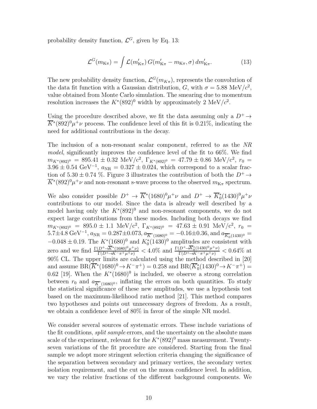probability density function,  $\mathcal{L}^G$ , given by Eq. 13:

$$
\mathcal{L}^G(m_{\text{K}\pi}) = \int \mathcal{L}(m'_{\text{K}\pi}) \, G(m'_{\text{K}\pi} - m_{\text{K}\pi}, \sigma) \, dm'_{\text{K}\pi}.\tag{13}
$$

The new probability density function,  $\mathcal{L}^G(m_{K\pi})$ , represents the convolution of the data fit function with a Gaussian distribution, G, with  $\sigma = 5.88 \text{ MeV}/c^2$ , value obtained from Monte Carlo simulation. The smearing due to momentum resolution increases the  $K^*(892)^0$  width by approximately 2 MeV/ $c^2$ .

Using the procedure described above, we fit the data assuming only a  $D^+ \rightarrow$  $\overline{K}^*(892)^0\mu^+\nu$  process. The confidence level of this fit is 0.21%, indicating the need for additional contributions in the decay.

The inclusion of a non-resonant scalar component, referred to as the NR model, significantly improves the confidence level of the fit to 66%. We find  $m_{K^*(892)^0}$  = 895.41 ± 0.32 MeV/c<sup>2</sup>,  $\Gamma_{K^*(892)^0}$  = 47.79 ± 0.86 MeV/c<sup>2</sup>,  $r_0$  =  $3.96 \pm 0.54$  GeV<sup>-1</sup>,  $a_{\text{NR}} = 0.327 \pm 0.024$ , which correspond to a scalar fraction of 5.30  $\pm$  0.74 %. Figure 3 illustrates the contribution of both the  $D^+ \rightarrow$  $\overline{K}^*(892)^0\mu^+\nu$  and non-resonant s-wave process to the observed  $m_{K\pi}$  spectrum.

We also consider possible  $D^+ \to \overline{K}^*(1680)^0 \mu^+ \nu$  and  $D^+ \to \overline{K}_0^*(1430)^0 \mu^+ \nu$ contributions to our model. Since the data is already well described by a model having only the  $K^*(892)^0$  and non-resonant components, we do not expect large contributions from these modes. Including both decays we find  $m_{K^*(892)^0}$  = 895.0 ± 1.1 MeV/c<sup>2</sup>,  $\Gamma_{K^*(892)^0}$  = 47.63 ± 0.91 MeV/c<sup>2</sup>,  $r_0$  =  $5.7\pm4.8~\text{GeV}^{-1}$ ,  $a_{\text{NR}} = 0.287\pm0.073$ ,  $a_{\overline{K}^*(1680)^0} = -0.16\pm0.36$ , and  $a_{\overline{K}^*_0(1430)^0} =$  $-0.048 \pm 0.19$ . The  $K^*(1680)^0$  and  $K_0^*(1430)^0$  amplitudes are consistent with zero and we find  $\frac{\Gamma(D^+ \to \overline{K}^*(1680)^0 \mu^+ \nu)}{\Gamma(D^+ \to K^- \pi^+ \mu^+ \nu)} < 4.0\%$  and  $\frac{\Gamma(D^+ \to \overline{K}_0^*(1430)^0 \mu^+ \nu)}{\Gamma(D^+ \to K^- \pi^+ \mu^+ \nu)} < 0.64\%$  at 90% CL. The upper limits are calculated using the method described in [20] and assume  $BR(\bar{K}^*(1680)^0 \to K^- \pi^+) = 0.258$  and  $BR(\bar{K}_0^*(1430)^0 \to K^- \pi^+) =$ 0.62 [19]. When the  $K^*(1680)^0$  is included, we observe a strong correlation between  $r_0$  and  $a_{\overline{K}^*(1680)^0}$ , inflating the errors on both quantities. To study the statistical significance of these new amplitudes, we use a hypothesis test based on the maximum-likelihood ratio method [21]. This method compares two hypotheses and points out unnecessary degrees of freedom. As a result, we obtain a confidence level of 80% in favor of the simple NR model.

We consider several sources of systematic errors. These include variations of the fit conditions, *split sample* errors, and the uncertainty on the absolute mass scale of the experiment, relevant for the  $K^*(892)^0$  mass measurement. Twentyseven variations of the fit procedure are considered. Starting from the final sample we adopt more stringent selection criteria changing the significance of the separation between secondary and primary vertices, the secondary vertex isolation requirement, and the cut on the muon confidence level. In addition, we vary the relative fractions of the different background components. We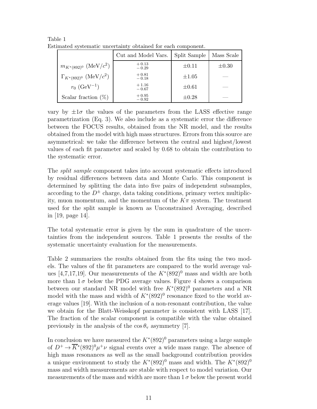|                                     | Cut and Model Vars. | Split Sample | Mass Scale |
|-------------------------------------|---------------------|--------------|------------|
| $m_{K^*(892)^0}$ (MeV/ $c^2$ )      | $+0.13$<br>$-0.29$  | $\pm 0.11$   | $\pm 0.30$ |
| $\Gamma_{K^*(892)^0}$ (MeV/ $c^2$ ) | $+0.81$<br>$-0.18$  | $\pm 1.05$   |            |
| $r_0$ (GeV <sup>-1</sup> )          | $+1.16$<br>$-0.67$  | $\pm 0.61$   |            |
| Scalar fraction $(\%)$              | $+0.95$<br>$-0.92$  | $\pm 0.28$   |            |

Table 1 Estimated systematic uncertainty obtained for each component.

vary by  $\pm 1\sigma$  the values of the parameters from the LASS effective range parametrization (Eq. 3). We also include as a systematic error the difference between the FOCUS results, obtained from the NR model, and the results obtained from the model with high mass structures. Errors from this source are asymmetrical: we take the difference between the central and highest/lowest values of each fit parameter and scaled by 0.68 to obtain the contribution to the systematic error.

The split sample component takes into account systematic effects introduced by residual differences between data and Monte Carlo. This component is determined by splitting the data into five pairs of independent subsamples, according to the  $D^{\pm}$  charge, data taking conditions, primary vertex multiplicity, muon momentum, and the momentum of the  $K\pi$  system. The treatment used for the split sample is known as Unconstrained Averaging, described in [19, page 14].

The total systematic error is given by the sum in quadrature of the uncertainties from the independent sources. Table 1 presents the results of the systematic uncertainty evaluation for the measurements.

Table 2 summarizes the results obtained from the fits using the two models. The values of the fit parameters are compared to the world average values [4,7,17,19]. Our measurements of the  $K^*(892)^0$  mass and width are both more than  $1\sigma$  below the PDG average values. Figure 4 shows a comparison between our standard NR model with free  $K^*(892)^0$  parameters and a NR model with the mass and width of  $K^*(892)^0$  resonance fixed to the world average values [19]. With the inclusion of a non-resonant contribution, the value we obtain for the Blatt-Weisskopf parameter is consistent with LASS [17]. The fraction of the scalar component is compatible with the value obtained previously in the analysis of the  $\cos \theta_{\rm v}$  asymmetry [7].

In conclusion we have measured the  $K^*(892)^0$  parameters using a large sample of  $D^+ \to \overline{K}^*(892)^0 \mu^+\nu$  signal events over a wide mass range. The absence of high mass resonances as well as the small background contribution provides a unique environment to study the  $K^*(892)^0$  mass and width. The  $K^*(892)^0$ mass and width measurements are stable with respect to model variation. Our measurements of the mass and width are more than  $1\sigma$  below the present world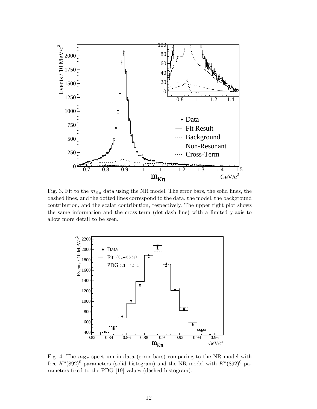

Fig. 3. Fit to the  $m_{K_{\pi}}$  data using the NR model. The error bars, the solid lines, the dashed lines, and the dotted lines correspond to the data, the model, the background contribution, and the scalar contribution, respectively. The upper right plot shows the same information and the cross-term (dot-dash line) with a limited y-axis to allow more detail to be seen.



Fig. 4. The  $m_{K_{\pi}}$  spectrum in data (error bars) comparing to the NR model with free  $K^*(892)^0$  parameters (solid histogram) and the NR model with  $K^*(892)^0$  parameters fixed to the PDG [19] values (dashed histogram).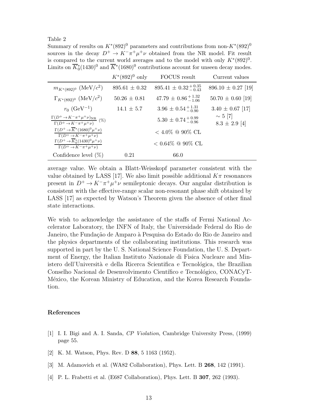Table 2

Summary of results on  $K^*(892)^0$  parameters and contributions from non- $K^*(892)^0$ sources in the decay  $D^+ \to K^-\pi^+\mu^+\nu$  obtained from the NR model. Fit result is compared to the current world averages and to the model with only  $K^*(892)^0$ . Limits on  $\overline{K}_0^*(1430)^0$  and  $\overline{K}^*(1680)^0$  contributions account for unseen decay modes.

|                                                                                                                 | $K^*(892)^0$ only | <b>FOCUS</b> result               | Current values                    |
|-----------------------------------------------------------------------------------------------------------------|-------------------|-----------------------------------|-----------------------------------|
| $m_{K^*(892)^0}$ (MeV/ $c^2$ )                                                                                  | $895.61 \pm 0.32$ | $895.41 \pm 0.32_{-0.43}^{+0.35}$ | $896.10 \pm 0.27$ [19]            |
| $\Gamma_{K^*(892)^0}$ (MeV/ $c^2$ )                                                                             | $50.26 \pm 0.81$  | $47.79 \pm 0.86_{-1.06}^{+1.32}$  | $50.70 \pm 0.60$ [19]             |
| $r_0$ (GeV <sup>-1</sup> )                                                                                      | $14.1 \pm 5.7$    | $3.96 \pm 0.54_{-0.90}^{+1.31}$   | $3.40 \pm 0.67$ [17]              |
| $\frac{\Gamma(D^+\!\rightarrow\! K^-\pi^+\mu^+\nu)_{\rm NR}}{\Gamma(D^+\!\rightarrow\! K^-\pi^+\mu^+\nu)}~(\%)$ |                   | $5.30 \pm 0.74_{-0.96}^{+0.99}$   | $\sim 5$ [7]<br>$8.3 \pm 2.9$ [4] |
| $\Gamma(D^+\to \overline{K^*}(1680)^0\mu^+\nu)$<br>$\Gamma(D^+ \to K^- \pi^+ \mu^+ \nu)$                        |                   | $< 4.0\%$ @ 90% CL                |                                   |
| $\Gamma(D^+\to \overline{K}_0^*(1430)^0\mu^+\nu)$<br>$\Gamma(D^+\to K^-\pi^+\mu^+\nu)$                          |                   | $< 0.64\%$ @ 90% CL               |                                   |
| Confidence level $(\%)$                                                                                         | 0.21              | 66.0                              |                                   |

average value. We obtain a Blatt-Weisskopf parameter consistent with the value obtained by LASS [17]. We also limit possible additional  $K\pi$  resonances present in  $D^+ \to K^-\pi^+\mu^+\nu$  semileptonic decays. Our angular distribution is consistent with the effective-range scalar non-resonant phase shift obtained by LASS [17] as expected by Watson's Theorem given the absence of other final state interactions.

We wish to acknowledge the assistance of the staffs of Fermi National Accelerator Laboratory, the INFN of Italy, the Universidade Federal do Rio de Janeiro, the Fundação de Amparo à Pesquisa do Estado do Rio de Janeiro and the physics departments of the collaborating institutions. This research was supported in part by the U. S. National Science Foundation, the U. S. Department of Energy, the Italian Instituto Nazionale di Fisica Nucleare and Ministero dell'Università e della Ricerca Scientifica e Tecnológica, the Brazilian Conselho Nacional de Desenvolvimento Científico e Tecnológico, CONACyT-México, the Korean Ministry of Education, and the Korea Research Foundation.

## References

- [1] I. I. Bigi and A. I. Sanda, *CP Violation*, Cambridge University Press, (1999) page 55.
- [2] K. M. Watson, Phys. Rev. D 88, 5 1163 (1952).
- [3] M. Adamovich et al. (WA82 Collaboration), Phys. Lett. B 268, 142 (1991).
- [4] P. L. Frabetti et al. (E687 Collaboration), Phys. Lett. B 307, 262 (1993).